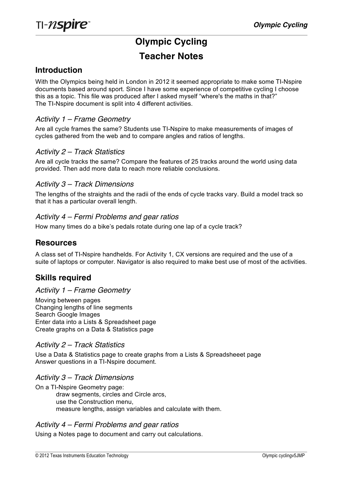# **Olympic Cycling Teacher Notes**

# **Introduction**

With the Olympics being held in London in 2012 it seemed appropriate to make some TI-Nspire documents based around sport. Since I have some experience of competitive cycling I choose this as a topic. This file was produced after I asked myself "where's the maths in that?" The TI-Nspire document is split into 4 different activities.

## *Activity 1 – Frame Geometry*

Are all cycle frames the same? Students use TI-Nspire to make measurements of images of cycles gathered from the web and to compare angles and ratios of lengths.

#### *Activity 2 – Track Statistics*

Are all cycle tracks the same? Compare the features of 25 tracks around the world using data provided. Then add more data to reach more reliable conclusions.

#### *Activity 3 – Track Dimensions*

The lengths of the straights and the radii of the ends of cycle tracks vary. Build a model track so that it has a particular overall length.

#### *Activity 4 – Fermi Problems and gear ratios*

How many times do a bike's pedals rotate during one lap of a cycle track?

## **Resources**

A class set of TI-Nspire handhelds. For Activity 1, CX versions are required and the use of a suite of laptops or computer. Navigator is also required to make best use of most of the activities.

# **Skills required**

#### *Activity 1 – Frame Geometry*

Moving between pages Changing lengths of line segments Search Google Images Enter data into a Lists & Spreadsheet page Create graphs on a Data & Statistics page

#### *Activity 2 – Track Statistics*

Use a Data & Statistics page to create graphs from a Lists & Spreadsheeet page Answer questions in a TI-Nspire document.

## *Activity 3 – Track Dimensions*

On a TI-Nspire Geometry page: draw segments, circles and Circle arcs, use the Construction menu, measure lengths, assign variables and calculate with them.

#### *Activity 4 – Fermi Problems and gear ratios*

Using a Notes page to document and carry out calculations.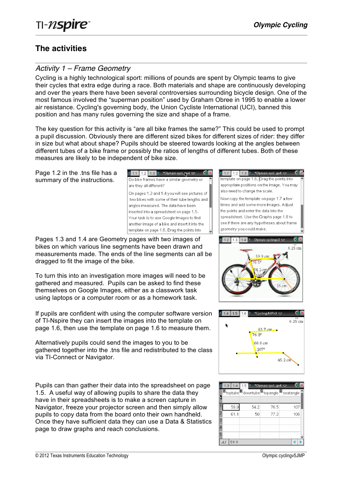# **The activities**

# *Activity 1 – Frame Geometry*

Cycling is a highly technological sport: millions of pounds are spent by Olympic teams to give their cycles that extra edge during a race. Both materials and shape are continuously developing and over the years there have been several controversies surrounding bicycle design. One of the most famous involved the "superman position" used by Graham Obree in 1995 to enable a lower air resistance. Cycling's governing body, the Union Cycliste International (UCI), banned this position and has many rules governing the size and shape of a frame.

The key question for this activity is "are all bike frames the same?" This could be used to prompt a pupil discussion. Obviously there are different sized bikes for different sizes of rider: they differ in size but what about shape? Pupils should be steered towards looking at the angles between different tubes of a bike frame or possibly the ratios of lengths of different tubes. Both of these measures are likely to be independent of bike size.

Page 1.2 in the .tns file has a summary of the instructions.

 $\begin{array}{|c|c|c|c|c|c|}\n\hline\n\textbf{1.1} & \textbf{1.2} & \textbf{1.3} & \textbf{1.3} & \textbf{1.8} & \textbf{1.7} & \textbf{1.8} \\
\hline\n\end{array}$ Do bike frames have a similar geometry or are they all different? On pages 1.3 and 1.4 you will see pictures of two bikes with some of their tube lengths and angles measured. The data have been inserted into a spreadsheet on page 1.5. Your task is to use Google Images to find another image of a bike and insert it into the template on page 1.6. Drag the points into

Pages 1.3 and 1.4 are Geometry pages with two images of bikes on which various line segments have been drawn and measurements made. The ends of the line segments can all be dragged to fit the image of the bike.

To turn this into an investigation more images will need to be gathered and measured. Pupils can be asked to find these themselves on Google Images, either as a classwork task using laptops or a computer room or as a homework task.

If pupils are confident with using the computer software version of TI-Nspire they can insert the images into the template on page 1.6, then use the template on page 1.6 to measure them.

Alternatively pupils could send the images to you to be gathered together into the .tns file and redistributed to the class via TI-Connect or Navigator.

Pupils can than gather their data into the spreadsheet on page 1.5. A useful way of allowing pupils to share the data they have in their spreadsheets is to make a screen capture in Navigator, freeze your projector screen and then simply allow pupils to copy data from the board onto their own handheld. Once they have sufficient data they can use a Data & Statistics page to draw graphs and reach conclusions.

template on page 1.6. Drag the points into appropriate positions on the image. You may also need to change the scale. Now copy the template on page 1.7 a few times and add some more images. Adjust the points and enter the data into the spreadsheet. Use the Graphs page 1.8 to see if there are any hypotheses about frame geometry you could make. 1.4  $\triangleright$  Olympic cyclingv3  $\triangleright$  $\sqrt{1.2}$ ا 1 ⊲  $6.25 \text{ cm}$ 

 $\leftarrow$  1.1 1.2 1.3  $\rightarrow$  \*Olympic cycl... gv4  $\rightarrow$ 



|   | 1.4        | 1.5                                    | *Olympic cyclgv4 ~ |     |  |
|---|------------|----------------------------------------|--------------------|-----|--|
|   |            | A toptube downtube ctopangle seatangle |                    |     |  |
|   | 59.9       | 54.2                                   | 76.5               | 107 |  |
|   | 61.1       | 50                                     | 77.3               | 106 |  |
| Δ |            |                                        |                    |     |  |
| 5 |            |                                        |                    |     |  |
|   | 59.9<br>АI |                                        |                    |     |  |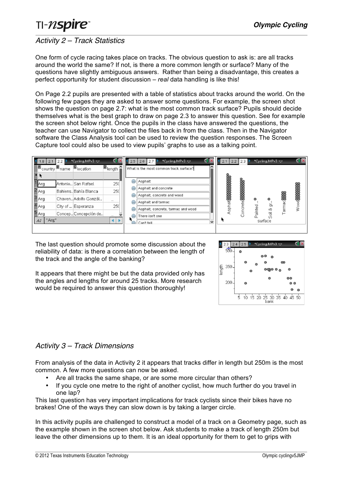# *Activity 2 – Track Statistics*

One form of cycle racing takes place on tracks. The obvious question to ask is: are all tracks around the world the same? If not, is there a more common length or surface? Many of the questions have slightly ambiguous answers. Rather than being a disadvantage, this creates a perfect opportunity for student discussion – *real* data handling is like this!

On Page 2.2 pupils are presented with a table of statistics about tracks around the world. On the following few pages they are asked to answer some questions. For example, the screen shot shows the question on page 2.7: what is the most common track surface? Pupils should decide themselves what is the best graph to draw on page 2.3 to answer this question. See for example the screen shot below right. Once the pupils in the class have answered the questions, the teacher can use Navigator to collect the files back in from the class. Then in the Navigator software the Class Analysis tool can be used to review the question responses. The Screen Capture tool could also be used to view pupils' graphs to use as a talking point.



The last question should promote some discussion about the reliability of data: is there a correlation between the length of the track and the angle of the banking?

It appears that there might be but the data provided only has the angles and lengths for around 25 tracks. More research would be required to answer this question thoroughly!



# *Activity 3 – Track Dimensions*

From analysis of the data in Activity 2 it appears that tracks differ in length but 250m is the most common. A few more questions can now be asked.

- Are all tracks the same shape, or are some more circular than others?
- If you cycle one metre to the right of another cyclist, how much further do you travel in one lap?

This last question has very important implications for track cyclists since their bikes have no brakes! One of the ways they can slow down is by taking a larger circle.

In this activity pupils are challenged to construct a model of a track on a Geometry page, such as the example shown in the screen shot below. Ask students to make a track of length 250m but leave the other dimensions up to them. It is an ideal opportunity for them to get to grips with